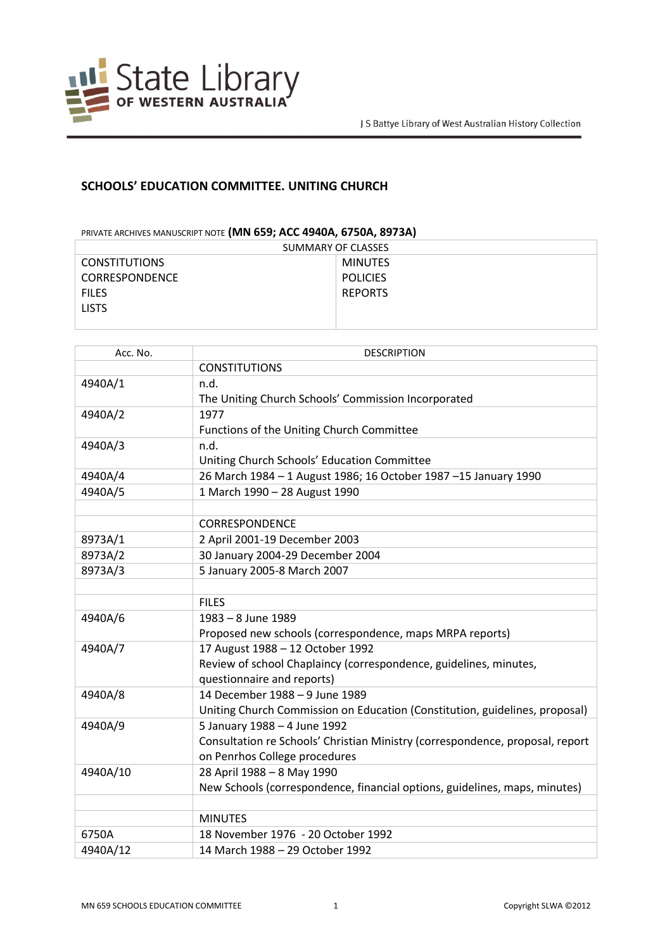

## **SCHOOLS' EDUCATION COMMITTEE. UNITING CHURCH**

## PRIVATE ARCHIVES MANUSCRIPT NOTE **(MN 659; ACC 4940A, 6750A, 8973A)**

| SUMMARY OF CLASSES    |                 |
|-----------------------|-----------------|
| <b>CONSTITUTIONS</b>  | <b>MINUTES</b>  |
| <b>CORRESPONDENCE</b> | <b>POLICIES</b> |
| <b>FILES</b>          | <b>REPORTS</b>  |
| <b>LISTS</b>          |                 |
|                       |                 |

| Acc. No. | <b>DESCRIPTION</b>                                                            |
|----------|-------------------------------------------------------------------------------|
|          | <b>CONSTITUTIONS</b>                                                          |
| 4940A/1  | n.d.                                                                          |
|          | The Uniting Church Schools' Commission Incorporated                           |
| 4940A/2  | 1977                                                                          |
|          | Functions of the Uniting Church Committee                                     |
| 4940A/3  | n.d.                                                                          |
|          | Uniting Church Schools' Education Committee                                   |
| 4940A/4  | 26 March 1984 - 1 August 1986; 16 October 1987 - 15 January 1990              |
| 4940A/5  | 1 March 1990 - 28 August 1990                                                 |
|          |                                                                               |
|          | <b>CORRESPONDENCE</b>                                                         |
| 8973A/1  | 2 April 2001-19 December 2003                                                 |
| 8973A/2  | 30 January 2004-29 December 2004                                              |
| 8973A/3  | 5 January 2005-8 March 2007                                                   |
|          |                                                                               |
|          | <b>FILES</b>                                                                  |
| 4940A/6  | 1983 - 8 June 1989                                                            |
|          | Proposed new schools (correspondence, maps MRPA reports)                      |
| 4940A/7  | 17 August 1988 - 12 October 1992                                              |
|          | Review of school Chaplaincy (correspondence, guidelines, minutes,             |
|          | questionnaire and reports)                                                    |
| 4940A/8  | 14 December 1988 - 9 June 1989                                                |
|          | Uniting Church Commission on Education (Constitution, guidelines, proposal)   |
| 4940A/9  | 5 January 1988 - 4 June 1992                                                  |
|          | Consultation re Schools' Christian Ministry (correspondence, proposal, report |
|          | on Penrhos College procedures                                                 |
| 4940A/10 | 28 April 1988 - 8 May 1990                                                    |
|          | New Schools (correspondence, financial options, guidelines, maps, minutes)    |
|          |                                                                               |
|          | <b>MINUTES</b>                                                                |
| 6750A    | 18 November 1976 - 20 October 1992                                            |
| 4940A/12 | 14 March 1988 - 29 October 1992                                               |